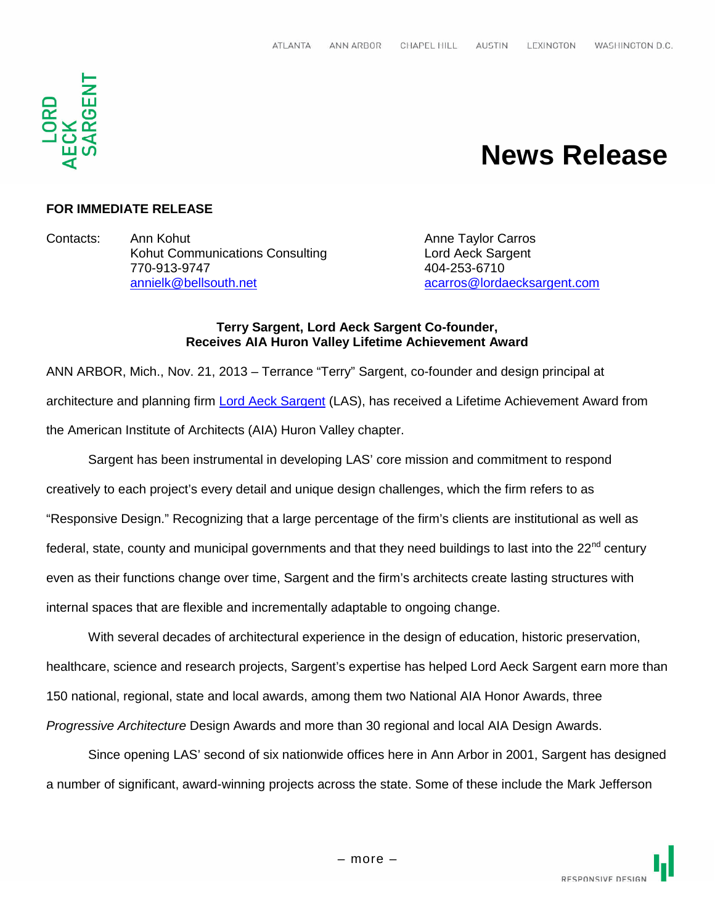

# **News Release**

## **FOR IMMEDIATE RELEASE**

Contacts: Ann Kohut Anne Taylor Carros Kohut Communications Consulting Entertainment Lord Aeck Sargent 770-913-9747 404-253-6710 annielk@bellsouth.net acarros@lordaecksargent.com

#### **Terry Sargent, Lord Aeck Sargent Co-founder, Receives AIA Huron Valley Lifetime Achievement Award**

ANN ARBOR, Mich., Nov. 21, 2013 – Terrance "Terry" Sargent, co-founder and design principal at architecture and planning firm Lord Aeck Sargent (LAS), has received a Lifetime Achievement Award from the American Institute of Architects (AIA) Huron Valley chapter.

Sargent has been instrumental in developing LAS' core mission and commitment to respond creatively to each project's every detail and unique design challenges, which the firm refers to as "Responsive Design." Recognizing that a large percentage of the firm's clients are institutional as well as federal, state, county and municipal governments and that they need buildings to last into the 22<sup>nd</sup> century even as their functions change over time, Sargent and the firm's architects create lasting structures with internal spaces that are flexible and incrementally adaptable to ongoing change.

With several decades of architectural experience in the design of education, historic preservation, healthcare, science and research projects, Sargent's expertise has helped Lord Aeck Sargent earn more than 150 national, regional, state and local awards, among them two National AIA Honor Awards, three *Progressive Architecture* Design Awards and more than 30 regional and local AIA Design Awards.

Since opening LAS' second of six nationwide offices here in Ann Arbor in 2001, Sargent has designed a number of significant, award-winning projects across the state. Some of these include the Mark Jefferson